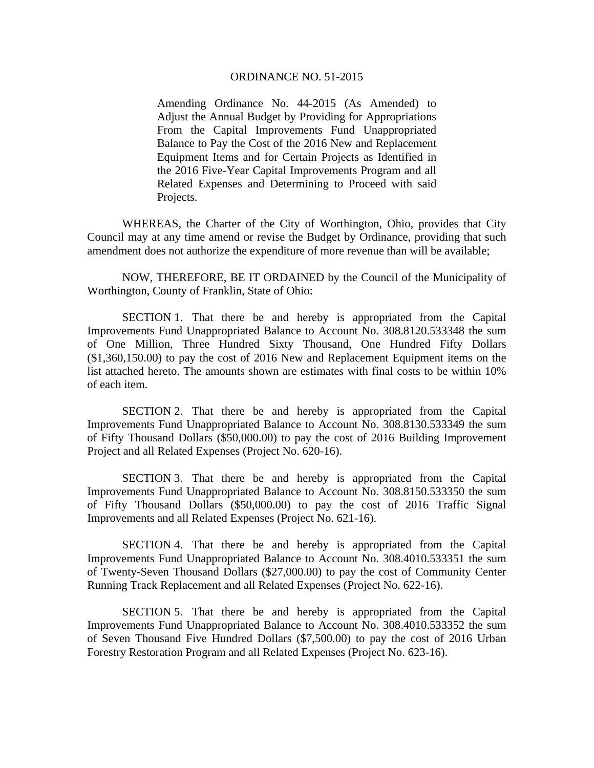## ORDINANCE NO. 51-2015

Amending Ordinance No. 44-2015 (As Amended) to Adjust the Annual Budget by Providing for Appropriations From the Capital Improvements Fund Unappropriated Balance to Pay the Cost of the 2016 New and Replacement Equipment Items and for Certain Projects as Identified in the 2016 Five-Year Capital Improvements Program and all Related Expenses and Determining to Proceed with said Projects.

 WHEREAS, the Charter of the City of Worthington, Ohio, provides that City Council may at any time amend or revise the Budget by Ordinance, providing that such amendment does not authorize the expenditure of more revenue than will be available;

 NOW, THEREFORE, BE IT ORDAINED by the Council of the Municipality of Worthington, County of Franklin, State of Ohio:

 SECTION 1. That there be and hereby is appropriated from the Capital Improvements Fund Unappropriated Balance to Account No. 308.8120.533348 the sum of One Million, Three Hundred Sixty Thousand, One Hundred Fifty Dollars (\$1,360,150.00) to pay the cost of 2016 New and Replacement Equipment items on the list attached hereto. The amounts shown are estimates with final costs to be within 10% of each item.

 SECTION 2. That there be and hereby is appropriated from the Capital Improvements Fund Unappropriated Balance to Account No. 308.8130.533349 the sum of Fifty Thousand Dollars (\$50,000.00) to pay the cost of 2016 Building Improvement Project and all Related Expenses (Project No. 620-16).

 SECTION 3. That there be and hereby is appropriated from the Capital Improvements Fund Unappropriated Balance to Account No. 308.8150.533350 the sum of Fifty Thousand Dollars (\$50,000.00) to pay the cost of 2016 Traffic Signal Improvements and all Related Expenses (Project No. 621-16).

 SECTION 4. That there be and hereby is appropriated from the Capital Improvements Fund Unappropriated Balance to Account No. 308.4010.533351 the sum of Twenty-Seven Thousand Dollars (\$27,000.00) to pay the cost of Community Center Running Track Replacement and all Related Expenses (Project No. 622-16).

 SECTION 5. That there be and hereby is appropriated from the Capital Improvements Fund Unappropriated Balance to Account No. 308.4010.533352 the sum of Seven Thousand Five Hundred Dollars (\$7,500.00) to pay the cost of 2016 Urban Forestry Restoration Program and all Related Expenses (Project No. 623-16).